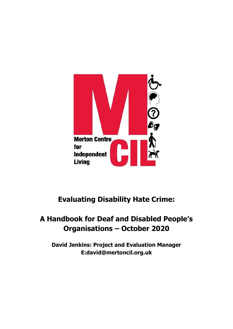

## **Evaluating Disability Hate Crime:**

## **A Handbook for Deaf and Disabled People's Organisations – October 2020**

**David Jenkins: Project and Evaluation Manager E:david@mertoncil.org.uk**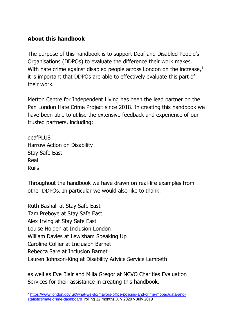## **About this handbook**

The purpose of this handbook is to support Deaf and Disabled People's Organisations (DDPOs) to evaluate the difference their work makes. With hate crime against disabled people across London on the increase,<sup>1</sup> it is important that DDPOs are able to effectively evaluate this part of their work.

Merton Centre for Independent Living has been the lead partner on the Pan London Hate Crime Project since 2018. In creating this handbook we have been able to utilise the extensive feedback and experience of our trusted partners, including:

deafPLUS Harrow Action on Disability Stay Safe East Real Ruils

Throughout the handbook we have drawn on real-life examples from other DDPOs. In particular we would also like to thank:

Ruth Bashall at Stay Safe East Tam Preboye at Stay Safe East Alex Irving at Stay Safe East Louise Holden at Inclusion London William Davies at Lewisham Speaking Up Caroline Collier at Inclusion Barnet Rebecca Sare at Inclusion Barnet Lauren Johnson-King at Disability Advice Service Lambeth

as well as Eve Blair and Milla Gregor at NCVO Charities Evaluation Services for their assistance in creating this handbook.

<sup>1</sup> [https://www.london.gov.uk/what-we-do/mayors-office-policing-and-crime-mopac/data-and](https://www.london.gov.uk/what-we-do/mayors-office-policing-and-crime-mopac/data-and-statistics/hate-crime-dashboard)[statistics/hate-crime-dashboard](https://www.london.gov.uk/what-we-do/mayors-office-policing-and-crime-mopac/data-and-statistics/hate-crime-dashboard) rolling 12 months July 2020 v July 2019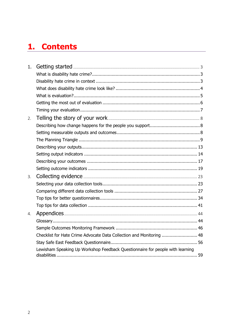## 1. Contents

| 1. |                                                                               |  |
|----|-------------------------------------------------------------------------------|--|
|    |                                                                               |  |
|    |                                                                               |  |
|    |                                                                               |  |
|    |                                                                               |  |
|    |                                                                               |  |
|    |                                                                               |  |
| 2. |                                                                               |  |
|    |                                                                               |  |
|    |                                                                               |  |
|    |                                                                               |  |
|    |                                                                               |  |
|    |                                                                               |  |
|    |                                                                               |  |
|    |                                                                               |  |
| 3. |                                                                               |  |
|    |                                                                               |  |
|    |                                                                               |  |
|    |                                                                               |  |
|    |                                                                               |  |
| 4. |                                                                               |  |
|    |                                                                               |  |
|    |                                                                               |  |
|    | Checklist for Hate Crime Advocate Data Collection and Monitoring  48          |  |
|    |                                                                               |  |
|    | Lewisham Speaking Up Workshop Feedback Questionnaire for people with learning |  |
|    |                                                                               |  |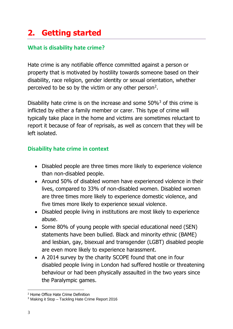# <span id="page-3-0"></span>**2. Getting started**

## <span id="page-3-1"></span>**What is disability hate crime?**

Hate crime is any notifiable offence committed against a person or property that is motivated by hostility towards someone based on their disability, race religion, gender identity or sexual orientation, whether perceived to be so by the victim or any other person<sup>2</sup>.

Disability hate crime is on the increase and some 50%<sup>3</sup> of this crime is inflicted by either a family member or carer. This type of crime will typically take place in the home and victims are sometimes reluctant to report it because of fear of reprisals, as well as concern that they will be left isolated.

## <span id="page-3-2"></span>**Disability hate crime in context**

- Disabled people are three times more likely to experience violence than non-disabled people.
- Around 50% of disabled women have experienced violence in their lives, compared to 33% of non-disabled women. Disabled women are three times more likely to experience domestic violence, and five times more likely to experience sexual violence.
- Disabled people living in institutions are most likely to experience abuse.
- Some 80% of young people with special educational need (SEN) statements have been bullied. Black and minority ethnic (BAME) and lesbian, gay, bisexual and transgender (LGBT) disabled people are even more likely to experience harassment.
- A 2014 survey by the charity SCOPE found that one in four disabled people living in London had suffered hostile or threatening behaviour or had been physically assaulted in the two years since the Paralympic games.

<sup>2</sup> Home Office Hate Crime Definition

<sup>3</sup> Making it Stop – Tackling Hate Crime Report 2016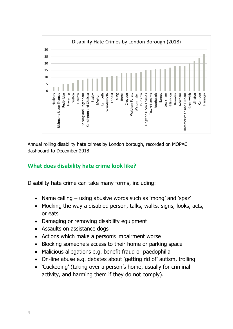

Annual rolling disability hate crimes by London borough, recorded on MOPAC dashboard to December 2018

## <span id="page-4-0"></span>**What does disability hate crime look like?**

Disability hate crime can take many forms, including:

- Name calling using abusive words such as 'mong' and 'spaz'
- Mocking the way a disabled person, talks, walks, signs, looks, acts, or eats
- Damaging or removing disability equipment
- Assaults on assistance dogs
- Actions which make a person's impairment worse
- Blocking someone's access to their home or parking space
- Malicious allegations e.g. benefit fraud or paedophilia
- On-line abuse e.g. debates about 'getting rid of' autism, trolling
- 'Cuckooing' (taking over a person's home, usually for criminal activity, and harming them if they do not comply).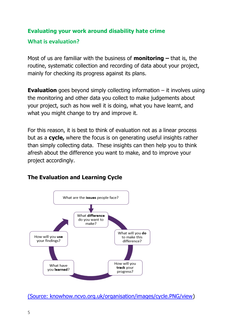## **Evaluating your work around disability hate crime**

#### <span id="page-5-0"></span>**What is evaluation?**

Most of us are familiar with the business of **monitoring –** that is, the routine, systematic collection and recording of data about your project, mainly for checking its progress against its plans.

**Evaluation** goes beyond simply collecting information – it involves using the monitoring and other data you collect to make judgements about your project, such as how well it is doing, what you have learnt, and what you might change to try and improve it.

For this reason, it is best to think of evaluation not as a linear process but as a **cycle,** where the focus is on generating useful insights rather than simply collecting data. These insights can then help you to think afresh about the difference you want to make, and to improve your project accordingly.

## **The Evaluation and Learning Cycle**



[\(Source: knowhow.ncvo.org.uk/organisation/images/cycle.PNG/view\)](https://knowhow.ncvo.org.uk/organisation/images/cycle.PNG/view)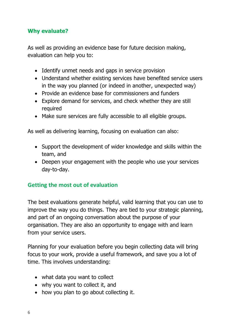#### **Why evaluate?**

As well as providing an evidence base for future decision making, evaluation can help you to:

- Identify unmet needs and gaps in service provision
- Understand whether existing services have benefited service users in the way you planned (or indeed in another, unexpected way)
- Provide an evidence base for commissioners and funders
- Explore demand for services, and check whether they are still required
- Make sure services are fully accessible to all eligible groups.

As well as delivering learning, focusing on evaluation can also:

- Support the development of wider knowledge and skills within the team, and
- Deepen your engagement with the people who use your services day-to-day.

## <span id="page-6-0"></span>**Getting the most out of evaluation**

The best evaluations generate helpful, valid learning that you can use to improve the way you do things. They are tied to your strategic planning, and part of an ongoing conversation about the purpose of your organisation. They are also an opportunity to engage with and learn from your service users.

Planning for your evaluation before you begin collecting data will bring focus to your work, provide a useful framework, and save you a lot of time. This involves understanding:

- what data you want to collect
- why you want to collect it, and
- how you plan to go about collecting it.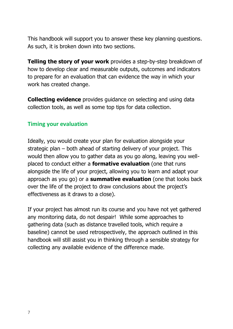This handbook will support you to answer these key planning questions. As such, it is broken down into two sections.

**Telling the story of your work** provides a step-by-step breakdown of how to develop clear and measurable outputs, outcomes and indicators to prepare for an evaluation that can evidence the way in which your work has created change.

**Collecting evidence** provides guidance on selecting and using data collection tools, as well as some top tips for data collection.

#### <span id="page-7-0"></span>**Timing your evaluation**

Ideally, you would create your plan for evaluation alongside your strategic plan – both ahead of starting delivery of your project. This would then allow you to gather data as you go along, leaving you wellplaced to conduct either a **formative evaluation** (one that runs alongside the life of your project, allowing you to learn and adapt your approach as you go) or a **summative evaluation** (one that looks back over the life of the project to draw conclusions about the project's effectiveness as it draws to a close).

If your project has almost run its course and you have not yet gathered any monitoring data, do not despair! While some approaches to gathering data (such as distance travelled tools, which require a baseline) cannot be used retrospectively, the approach outlined in this handbook will still assist you in thinking through a sensible strategy for collecting any available evidence of the difference made.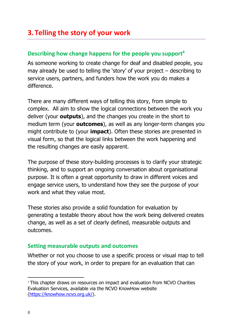## <span id="page-8-0"></span>**3. Telling the story of your work**

#### <span id="page-8-1"></span>**Describing how change happens for the people you support<sup>4</sup>**

As someone working to create change for deaf and disabled people, you may already be used to telling the 'story' of your project – describing to service users, partners, and funders how the work you do makes a difference.

There are many different ways of telling this story, from simple to complex. All aim to show the logical connections between the work you deliver (your **outputs**), and the changes you create in the short to medium term (your **outcomes**), as well as any longer-term changes you might contribute to (your **impact**). Often these stories are presented in visual form, so that the logical links between the work happening and the resulting changes are easily apparent.

The purpose of these story-building processes is to clarify your strategic thinking, and to support an ongoing conversation about organisational purpose. It is often a great opportunity to draw in different voices and engage service users, to understand how they see the purpose of your work and what they value most.

These stories also provide a solid foundation for evaluation by generating a testable theory about how the work being delivered creates change, as well as a set of clearly defined, measurable outputs and outcomes.

#### <span id="page-8-2"></span>**Setting measurable outputs and outcomes**

Whether or not you choose to use a specific process or visual map to tell the story of your work, in order to prepare for an evaluation that can

<sup>&</sup>lt;sup>4</sup> This chapter draws on resources on impact and evaluation from NCVO Charities Evaluation Services, available via the NCVO KnowHow website [\(https://knowhow.ncvo.org.uk/\)](https://knowhow.ncvo.org.uk/).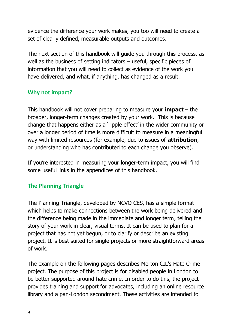evidence the difference your work makes, you too will need to create a set of clearly defined, measurable outputs and outcomes.

The next section of this handbook will guide you through this process, as well as the business of setting indicators – useful, specific pieces of information that you will need to collect as evidence of the work you have delivered, and what, if anything, has changed as a result.

## **Why not impact?**

This handbook will not cover preparing to measure your **impact** – the broader, longer-term changes created by your work. This is because change that happens either as a 'ripple effect' in the wider community or over a longer period of time is more difficult to measure in a meaningful way with limited resources (for example, due to issues of **attribution**, or understanding who has contributed to each change you observe).

If you're interested in measuring your longer-term impact, you will find some useful links in the appendices of this handbook.

## <span id="page-9-0"></span>**The Planning Triangle**

The Planning Triangle, developed by NCVO CES, has a simple format which helps to make connections between the work being delivered and the difference being made in the immediate and longer term, telling the story of your work in clear, visual terms. It can be used to plan for a project that has not yet begun, or to clarify or describe an existing project. It is best suited for single projects or more straightforward areas of work.

The example on the following pages describes Merton CIL's Hate Crime project. The purpose of this project is for disabled people in London to be better supported around hate crime. In order to do this, the project provides training and support for advocates, including an online resource library and a pan-London secondment. These activities are intended to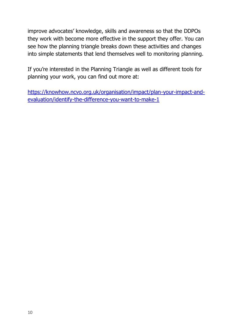improve advocates' knowledge, skills and awareness so that the DDPOs they work with become more effective in the support they offer. You can see how the planning triangle breaks down these activities and changes into simple statements that lend themselves well to monitoring planning.

If you're interested in the Planning Triangle as well as different tools for planning your work, you can find out more at:

[https://knowhow.ncvo.org.uk/organisation/impact/plan-your-impact-and](https://knowhow.ncvo.org.uk/organisation/impact/plan-your-impact-and-evaluation/identify-the-difference-you-want-to-make-1)[evaluation/identify-the-difference-you-want-to-make-1](https://knowhow.ncvo.org.uk/organisation/impact/plan-your-impact-and-evaluation/identify-the-difference-you-want-to-make-1)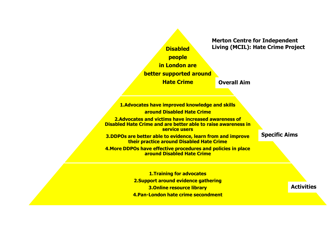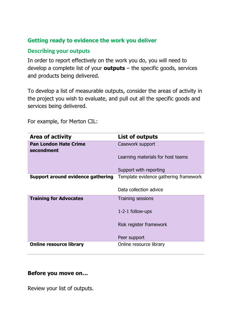#### **Getting ready to evidence the work you deliver**

#### <span id="page-12-0"></span>**Describing your outputs**

In order to report effectively on the work you do, you will need to develop a complete list of your **outputs** – the specific goods, services and products being delivered.

To develop a list of measurable outputs, consider the areas of activity in the project you wish to evaluate, and pull out all the specific goods and services being delivered.

**Area of activity List of outputs Pan London Hate Crime secondment** Casework support Learning materials for host teams Support with reporting **Support around evidence gathering** Template evidence gathering framework Data collection advice **Training for Advocates** Training sessions 1-2-1 follow-ups Risk register framework Peer support **Online resource library Conline resource library** 

For example, for Merton CIL:

#### **Before you move on…**

Review your list of outputs.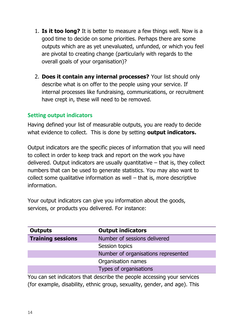- 1. **Is it too long?** It is better to measure a few things well. Now is a good time to decide on some priorities. Perhaps there are some outputs which are as yet unevaluated, unfunded, or which you feel are pivotal to creating change (particularly with regards to the overall goals of your organisation)?
- 2. **Does it contain any internal processes?** Your list should only describe what is on offer to the people using your service. If internal processes like fundraising, communications, or recruitment have crept in, these will need to be removed.

#### <span id="page-13-0"></span>**Setting output indicators**

Having defined your list of measurable outputs, you are ready to decide what evidence to collect. This is done by setting **output indicators.** 

Output indicators are the specific pieces of information that you will need to collect in order to keep track and report on the work you have delivered. Output indicators are usually quantitative  $-$  that is, they collect numbers that can be used to generate statistics. You may also want to collect some qualitative information as well – that is, more descriptive information.

Your output indicators can give you information about the goods, services, or products you delivered. For instance:

| <b>Outputs</b>           | <b>Output indicators</b>            |  |
|--------------------------|-------------------------------------|--|
| <b>Training sessions</b> | Number of sessions delivered        |  |
|                          | Session topics                      |  |
|                          | Number of organisations represented |  |
|                          | Organisation names                  |  |
| Types of organisations   |                                     |  |

You can set indicators that describe the people accessing your services (for example, disability, ethnic group, sexuality, gender, and age). This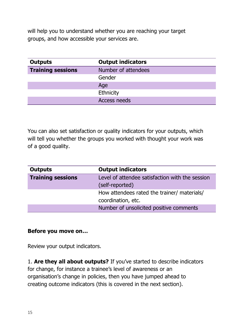will help you to understand whether you are reaching your target groups, and how accessible your services are.

| <b>Outputs</b>           | <b>Output indicators</b> |
|--------------------------|--------------------------|
| <b>Training sessions</b> | Number of attendees      |
|                          | Gender                   |
|                          | Age                      |
|                          | Ethnicity                |
|                          | <b>Access needs</b>      |

You can also set satisfaction or quality indicators for your outputs, which will tell you whether the groups you worked with thought your work was of a good quality.

| <b>Outputs</b>           | <b>Output indicators</b>                        |  |
|--------------------------|-------------------------------------------------|--|
| <b>Training sessions</b> | Level of attendee satisfaction with the session |  |
|                          | (self-reported)                                 |  |
|                          | How attendees rated the trainer/ materials/     |  |
|                          | coordination, etc.                              |  |
|                          | Number of unsolicited positive comments         |  |

#### **Before you move on…**

Review your output indicators.

1. **Are they all about outputs?** If you've started to describe indicators for change, for instance a trainee's level of awareness or an organisation's change in policies, then you have jumped ahead to creating outcome indicators (this is covered in the next section).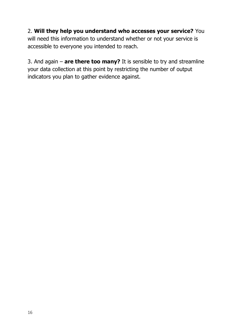## 2. **Will they help you understand who accesses your service?** You will need this information to understand whether or not your service is accessible to everyone you intended to reach.

3. And again – **are there too many?** It is sensible to try and streamline your data collection at this point by restricting the number of output indicators you plan to gather evidence against.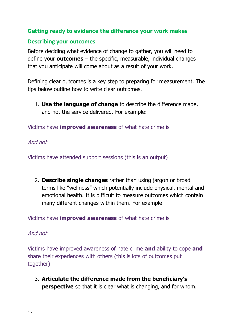#### **Getting ready to evidence the difference your work makes**

#### <span id="page-16-0"></span>**Describing your outcomes**

Before deciding what evidence of change to gather, you will need to define your **outcomes** – the specific, measurable, individual changes that you anticipate will come about as a result of your work.

Defining clear outcomes is a key step to preparing for measurement. The tips below outline how to write clear outcomes.

1. **Use the language of change** to describe the difference made, and not the service delivered. For example:

Victims have **improved awareness** of what hate crime is

And not

Victims have attended support sessions (this is an output)

2. **Describe single changes** rather than using jargon or broad terms like "wellness" which potentially include physical, mental and emotional health. It is difficult to measure outcomes which contain many different changes within them. For example:

Victims have **improved awareness** of what hate crime is

#### And not

Victims have improved awareness of hate crime **and** ability to cope **and** share their experiences with others (this is lots of outcomes put together)

3. **Articulate the difference made from the beneficiary's perspective** so that it is clear what is changing, and for whom.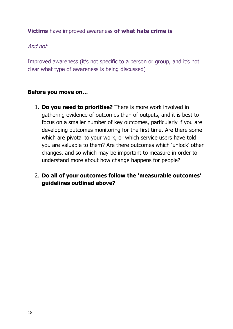#### **Victims** have improved awareness **of what hate crime is**

#### And not

Improved awareness (it's not specific to a person or group, and it's not clear what type of awareness is being discussed)

#### **Before you move on…**

- 1. **Do you need to prioritise?** There is more work involved in gathering evidence of outcomes than of outputs, and it is best to focus on a smaller number of key outcomes, particularly if you are developing outcomes monitoring for the first time. Are there some which are pivotal to your work, or which service users have told you are valuable to them? Are there outcomes which 'unlock' other changes, and so which may be important to measure in order to understand more about how change happens for people?
- 2. **Do all of your outcomes follow the 'measurable outcomes' guidelines outlined above?**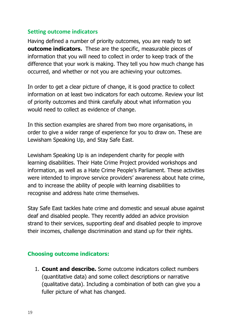#### <span id="page-18-0"></span>**Setting outcome indicators**

Having defined a number of priority outcomes, you are ready to set **outcome indicators.** These are the specific, measurable pieces of information that you will need to collect in order to keep track of the difference that your work is making. They tell you how much change has occurred, and whether or not you are achieving your outcomes.

In order to get a clear picture of change, it is good practice to collect information on at least two indicators for each outcome. Review your list of priority outcomes and think carefully about what information you would need to collect as evidence of change.

In this section examples are shared from two more organisations, in order to give a wider range of experience for you to draw on. These are Lewisham Speaking Up, and Stay Safe East.

Lewisham Speaking Up is an independent charity for people with learning disabilities. Their Hate Crime Project provided workshops and information, as well as a Hate Crime People's Parliament. These activities were intended to improve service providers' awareness about hate crime, and to increase the ability of people with learning disabilities to recognise and address hate crime themselves.

Stay Safe East tackles hate crime and domestic and sexual abuse against deaf and disabled people. They recently added an advice provision strand to their services, supporting deaf and disabled people to improve their incomes, challenge discrimination and stand up for their rights.

#### **Choosing outcome indicators:**

1. **Count and describe.** Some outcome indicators collect numbers (quantitative data) and some collect descriptions or narrative (qualitative data). Including a combination of both can give you a fuller picture of what has changed.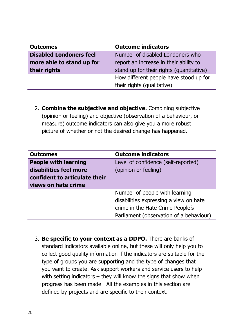| <b>Outcomes</b>                | <b>Outcome indicators</b>                |  |
|--------------------------------|------------------------------------------|--|
| <b>Disabled Londoners feel</b> | Number of disabled Londoners who         |  |
| more able to stand up for      | report an increase in their ability to   |  |
| their rights                   | stand up for their rights (quantitative) |  |
|                                | How different people have stood up for   |  |
|                                | their rights (qualitative)               |  |

2. **Combine the subjective and objective.** Combining subjective (opinion or feeling) and objective (observation of a behaviour, or measure) outcome indicators can also give you a more robust picture of whether or not the desired change has happened.

| <b>Outcomes</b>               | <b>Outcome indicators</b>               |
|-------------------------------|-----------------------------------------|
| <b>People with learning</b>   | Level of confidence (self-reported)     |
| disabilities feel more        | (opinion or feeling)                    |
| confident to articulate their |                                         |
| views on hate crime           |                                         |
|                               | Number of people with learning          |
|                               | disabilities expressing a view on hate  |
|                               | crime in the Hate Crime People's        |
|                               | Parliament (observation of a behaviour) |

3. **Be specific to your context as a DDPO.** There are banks of standard indicators available online, but these will only help you to collect good quality information if the indicators are suitable for the type of groups you are supporting and the type of changes that you want to create. Ask support workers and service users to help with setting indicators – they will know the signs that show when progress has been made. All the examples in this section are defined by projects and are specific to their context.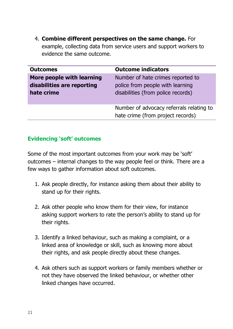4. **Combine different perspectives on the same change.** For example, collecting data from service users and support workers to evidence the same outcome.

| <b>Outcomes</b>                                                       | <b>Outcome indicators</b>                                                                                   |  |
|-----------------------------------------------------------------------|-------------------------------------------------------------------------------------------------------------|--|
| More people with learning<br>disabilities are reporting<br>hate crime | Number of hate crimes reported to<br>police from people with learning<br>disabilities (from police records) |  |
|                                                                       | Number of advocacy referrals relating to<br>hate crime (from project records)                               |  |

#### **Evidencing 'soft' outcomes**

Some of the most important outcomes from your work may be 'soft' outcomes – internal changes to the way people feel or think. There are a few ways to gather information about soft outcomes.

- 1. Ask people directly, for instance asking them about their ability to stand up for their rights.
- 2. Ask other people who know them for their view, for instance asking support workers to rate the person's ability to stand up for their rights.
- 3. Identify a linked behaviour, such as making a complaint, or a linked area of knowledge or skill, such as knowing more about their rights, and ask people directly about these changes.
- 4. Ask others such as support workers or family members whether or not they have observed the linked behaviour, or whether other linked changes have occurred.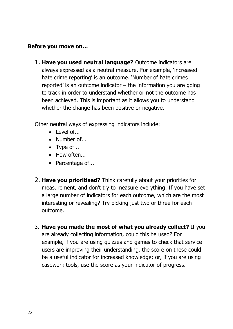#### **Before you move on…**

1. **Have you used neutral language?** Outcome indicators are always expressed as a neutral measure. For example, 'increased hate crime reporting' is an outcome. 'Number of hate crimes reported' is an outcome indicator – the information you are going to track in order to understand whether or not the outcome has been achieved. This is important as it allows you to understand whether the change has been positive or negative.

Other neutral ways of expressing indicators include:

- Level of...
- Number of...
- Type of...
- How often...
- Percentage of...
- 2. **Have you prioritised?** Think carefully about your priorities for measurement, and don't try to measure everything. If you have set a large number of indicators for each outcome, which are the most interesting or revealing? Try picking just two or three for each outcome.
- 3. **Have you made the most of what you already collect?** If you are already collecting information, could this be used? For example, if you are using quizzes and games to check that service users are improving their understanding, the score on these could be a useful indicator for increased knowledge; or, if you are using casework tools, use the score as your indicator of progress.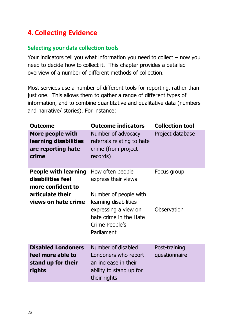## <span id="page-22-0"></span>**4.Collecting Evidence**

## <span id="page-22-1"></span>**Selecting your data collection tools**

Your indicators tell you what information you need to collect – now you need to decide how to collect it. This chapter provides a detailed overview of a number of different methods of collection.

Most services use a number of different tools for reporting, rather than just one. This allows them to gather a range of different types of information, and to combine quantitative and qualitative data (numbers and narrative/ stories). For instance:

| <b>Outcome</b>                                                                                                   | <b>Outcome indicators</b>                                                                                                                                                   | <b>Collection tool</b>         |
|------------------------------------------------------------------------------------------------------------------|-----------------------------------------------------------------------------------------------------------------------------------------------------------------------------|--------------------------------|
| More people with<br>learning disabilities<br>are reporting hate<br>crime                                         | Number of advocacy<br>referrals relating to hate<br>crime (from project<br>records)                                                                                         | Project database               |
| <b>People with learning</b><br>disabilities feel<br>more confident to<br>articulate their<br>views on hate crime | How often people<br>express their views<br>Number of people with<br>learning disabilities<br>expressing a view on<br>hate crime in the Hate<br>Crime People's<br>Parliament | Focus group<br>Observation     |
| <b>Disabled Londoners</b><br>feel more able to<br>stand up for their<br>rights                                   | Number of disabled<br>Londoners who report<br>an increase in their<br>ability to stand up for<br>their rights                                                               | Post-training<br>questionnaire |
|                                                                                                                  |                                                                                                                                                                             |                                |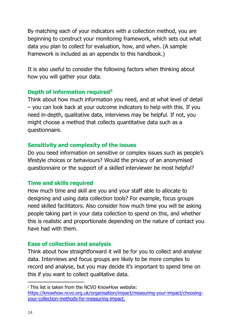By matching each of your indicators with a collection method, you are beginning to construct your monitoring framework, which sets out what data you plan to collect for evaluation, how, and when. (A sample framework is included as an appendix to this handbook.)

It is also useful to consider the following factors when thinking about how you will gather your data.

#### **Depth of information required<sup>5</sup>**

Think about how much information you need, and at what level of detail – you can look back at your outcome indicators to help with this. If you need in-depth, qualitative data, interviews may be helpful. If not, you might choose a method that collects quantitative data such as a questionnaire.

#### **Sensitivity and complexity of the issues**

Do you need information on sensitive or complex issues such as people's lifestyle choices or behaviours? Would the privacy of an anonymised questionnaire or the support of a skilled interviewer be most helpful?

## **Time and skills required**

How much time and skill are you and your staff able to allocate to designing and using data collection tools? For example, focus groups need skilled facilitators. Also consider how much time you will be asking people taking part in your data collection to spend on this, and whether this is realistic and proportionate depending on the nature of contact you have had with them.

## **Ease of collection and analysis**

Think about how straightforward it will be for you to collect and analyse data. Interviews and focus groups are likely to be more complex to record and analyse, but you may decide it's important to spend time on this if you want to collect qualitative data.

<sup>&</sup>lt;sup>5</sup> This list is taken from the NCVO KnowHow website: [https://knowhow.ncvo.org.uk/organisation/impact/measuring-your-impact/choosing](https://knowhow.ncvo.org.uk/organisation/impact/measuring-your-impact/choosing-your-collection-methods-for-measuring-impact)[your-collection-methods-for-measuring-impact.](https://knowhow.ncvo.org.uk/organisation/impact/measuring-your-impact/choosing-your-collection-methods-for-measuring-impact)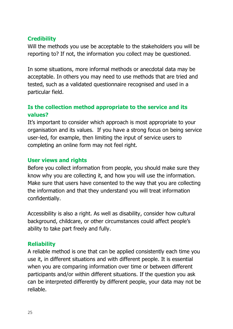## **Credibility**

Will the methods you use be acceptable to the stakeholders you will be reporting to? If not, the information you collect may be questioned.

In some situations, more informal methods or anecdotal data may be acceptable. In others you may need to use methods that are tried and tested, such as a validated questionnaire recognised and used in a particular field.

## **Is the collection method appropriate to the service and its values?**

It's important to consider which approach is most appropriate to your organisation and its values. If you have a strong focus on being service user-led, for example, then limiting the input of service users to completing an online form may not feel right.

#### **User views and rights**

Before you collect information from people, you should make sure they know why you are collecting it, and how you will use the information. Make sure that users have consented to the way that you are collecting the information and that they understand you will treat information confidentially.

Accessibility is also a right. As well as disability, consider how cultural background, childcare, or other circumstances could affect people's ability to take part freely and fully.

## **Reliability**

A reliable method is one that can be applied consistently each time you use it, in different situations and with different people. It is essential when you are comparing information over time or between different participants and/or within different situations. If the question you ask can be interpreted differently by different people, your data may not be reliable.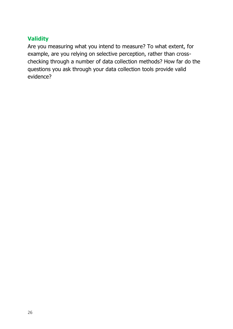## **Validity**

Are you measuring what you intend to measure? To what extent, for example, are you relying on selective perception, rather than crosschecking through a number of data collection methods? How far do the questions you ask through your data collection tools provide valid evidence?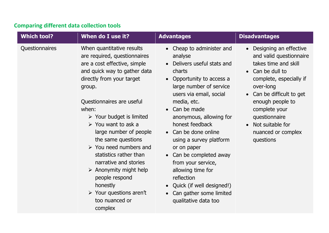## **Comparing different data collection tools**

<span id="page-26-0"></span>

| <b>Which tool?</b> | When do I use it?                                                                                                                                                                                                                                                                                                                                                                                                                                                                                                                                                                 | <b>Advantages</b>                                                                                                                                                                                                                                                                                                                                                                                                                                                                               | <b>Disadvantages</b>                                                                                                                                                                                                                                                                                               |
|--------------------|-----------------------------------------------------------------------------------------------------------------------------------------------------------------------------------------------------------------------------------------------------------------------------------------------------------------------------------------------------------------------------------------------------------------------------------------------------------------------------------------------------------------------------------------------------------------------------------|-------------------------------------------------------------------------------------------------------------------------------------------------------------------------------------------------------------------------------------------------------------------------------------------------------------------------------------------------------------------------------------------------------------------------------------------------------------------------------------------------|--------------------------------------------------------------------------------------------------------------------------------------------------------------------------------------------------------------------------------------------------------------------------------------------------------------------|
| Questionnaires     | When quantitative results<br>are required, questionnaires<br>are a cost effective, simple<br>and quick way to gather data<br>directly from your target<br>group.<br>Questionnaires are useful<br>when:<br>$\triangleright$ Your budget is limited<br>$\triangleright$ You want to ask a<br>large number of people<br>the same questions<br>$\triangleright$ You need numbers and<br>statistics rather than<br>narrative and stories<br>$\triangleright$ Anonymity might help<br>people respond<br>honestly<br>$\triangleright$ Your questions aren't<br>too nuanced or<br>complex | • Cheap to administer and<br>analyse<br>• Delivers useful stats and<br>charts<br>Opportunity to access a<br>$\bullet$<br>large number of service<br>users via email, social<br>media, etc.<br>Can be made<br>anonymous, allowing for<br>honest feedback<br>• Can be done online<br>using a survey platform<br>or on paper<br>• Can be completed away<br>from your service,<br>allowing time for<br>reflection<br>• Quick (if well designed!)<br>Can gather some limited<br>qualitative data too | Designing an effective<br>$\bullet$<br>and valid questionnaire<br>takes time and skill<br>Can be dull to<br>$\bullet$<br>complete, especially if<br>over-long<br>Can be difficult to get<br>$\bullet$<br>enough people to<br>complete your<br>questionnaire<br>Not suitable for<br>nuanced or complex<br>questions |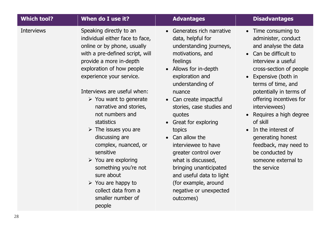| <b>Which tool?</b> | When do I use it?                                                                                                                                                                                                                                                                                                                                                                                                                                                                                                                                                                                                               | <b>Advantages</b>                                                                                                                                                                                                                                                                                                                                                                                                                                                                                     | <b>Disadvantages</b>                                                                                                                                                                                                                                                                                                                                                                                                                 |
|--------------------|---------------------------------------------------------------------------------------------------------------------------------------------------------------------------------------------------------------------------------------------------------------------------------------------------------------------------------------------------------------------------------------------------------------------------------------------------------------------------------------------------------------------------------------------------------------------------------------------------------------------------------|-------------------------------------------------------------------------------------------------------------------------------------------------------------------------------------------------------------------------------------------------------------------------------------------------------------------------------------------------------------------------------------------------------------------------------------------------------------------------------------------------------|--------------------------------------------------------------------------------------------------------------------------------------------------------------------------------------------------------------------------------------------------------------------------------------------------------------------------------------------------------------------------------------------------------------------------------------|
| <b>Interviews</b>  | Speaking directly to an<br>individual either face to face,<br>online or by phone, usually<br>with a pre-defined script, will<br>provide a more in-depth<br>exploration of how people<br>experience your service.<br>Interviews are useful when:<br>$\triangleright$ You want to generate<br>narrative and stories,<br>not numbers and<br><b>statistics</b><br>$\triangleright$ The issues you are<br>discussing are<br>complex, nuanced, or<br>sensitive<br>$\triangleright$ You are exploring<br>something you're not<br>sure about<br>$\triangleright$ You are happy to<br>collect data from a<br>smaller number of<br>people | • Generates rich narrative<br>data, helpful for<br>understanding journeys,<br>motivations, and<br>feelings<br>• Allows for in-depth<br>exploration and<br>understanding of<br>nuance<br>• Can create impactful<br>stories, case studies and<br>quotes<br>• Great for exploring<br>topics<br>• Can allow the<br>interviewee to have<br>greater control over<br>what is discussed,<br>bringing unanticipated<br>and useful data to light<br>(for example, around<br>negative or unexpected<br>outcomes) | • Time consuming to<br>administer, conduct<br>and analyse the data<br>• Can be difficult to<br>interview a useful<br>cross-section of people<br>Expensive (both in<br>terms of time, and<br>potentially in terms of<br>offering incentives for<br>interviewees)<br>Requires a high degree<br>of skill<br>• In the interest of<br>generating honest<br>feedback, may need to<br>be conducted by<br>someone external to<br>the service |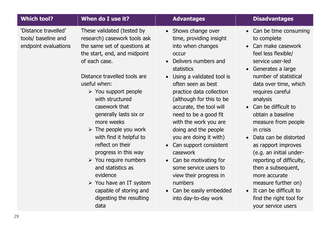| <b>Which tool?</b>                                                  | When do I use it?                                                                                                                                                                                                                                                                                                                                                                                                                                                                                                                                                                                             | <b>Advantages</b>                                                                                                                                                                                                                                                                                                                                                                                                                                                                                                                                                 | <b>Disadvantages</b>                                                                                                                                                                                                                                                                                                                                                                                                                                                                                                                                                                                                      |
|---------------------------------------------------------------------|---------------------------------------------------------------------------------------------------------------------------------------------------------------------------------------------------------------------------------------------------------------------------------------------------------------------------------------------------------------------------------------------------------------------------------------------------------------------------------------------------------------------------------------------------------------------------------------------------------------|-------------------------------------------------------------------------------------------------------------------------------------------------------------------------------------------------------------------------------------------------------------------------------------------------------------------------------------------------------------------------------------------------------------------------------------------------------------------------------------------------------------------------------------------------------------------|---------------------------------------------------------------------------------------------------------------------------------------------------------------------------------------------------------------------------------------------------------------------------------------------------------------------------------------------------------------------------------------------------------------------------------------------------------------------------------------------------------------------------------------------------------------------------------------------------------------------------|
| 'Distance travelled'<br>tools/ baseline and<br>endpoint evaluations | These validated (tested by<br>research) casework tools ask<br>the same set of questions at<br>the start, end, and midpoint<br>of each case.<br>Distance travelled tools are<br>useful when:<br>$\triangleright$ You support people<br>with structured<br>casework that<br>generally lasts six or<br>more weeks<br>$\triangleright$ The people you work<br>with find it helpful to<br>reflect on their<br>progress in this way<br>$\triangleright$ You require numbers<br>and statistics as<br>evidence<br>$\triangleright$ You have an IT system<br>capable of storing and<br>digesting the resulting<br>data | • Shows change over<br>time, providing insight<br>into when changes<br><b>occur</b><br>Delivers numbers and<br>$\bullet$<br>statistics<br>Using a validated tool is<br>often seen as best<br>practice data collection<br>(although for this to be<br>accurate, the tool will<br>need to be a good fit<br>with the work you are<br>doing and the people<br>you are doing it with)<br>Can support consistent<br>casework<br>• Can be motivating for<br>some service users to<br>view their progress in<br>numbers<br>Can be easily embedded<br>into day-to-day work | Can be time consuming<br>$\bullet$<br>to complete<br>Can make casework<br>$\bullet$<br>feel less flexible/<br>service user-led<br>Generates a large<br>$\bullet$<br>number of statistical<br>data over time, which<br>requires careful<br>analysis<br>Can be difficult to<br>$\bullet$<br>obtain a baseline<br>measure from people<br>in crisis<br>Data can be distorted<br>$\bullet$<br>as rapport improves<br>(e.g. an initial under-<br>reporting of difficulty,<br>then a subsequent,<br>more accurate<br>measure further on)<br>It can be difficult to<br>$\bullet$<br>find the right tool for<br>your service users |
| 9                                                                   |                                                                                                                                                                                                                                                                                                                                                                                                                                                                                                                                                                                                               |                                                                                                                                                                                                                                                                                                                                                                                                                                                                                                                                                                   |                                                                                                                                                                                                                                                                                                                                                                                                                                                                                                                                                                                                                           |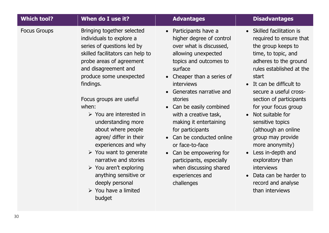| <b>Which tool?</b>  | When do I use it?                                                                                                                                                                                                                                                                                                                                                                                                                                                                                                                                                                                       | <b>Advantages</b>                                                                                                                                                                                                                                                                                                                                                                                                                                                                                                              | <b>Disadvantages</b>                                                                                                                                                                                                                                                                                                                                                                                                                                                                                                |
|---------------------|---------------------------------------------------------------------------------------------------------------------------------------------------------------------------------------------------------------------------------------------------------------------------------------------------------------------------------------------------------------------------------------------------------------------------------------------------------------------------------------------------------------------------------------------------------------------------------------------------------|--------------------------------------------------------------------------------------------------------------------------------------------------------------------------------------------------------------------------------------------------------------------------------------------------------------------------------------------------------------------------------------------------------------------------------------------------------------------------------------------------------------------------------|---------------------------------------------------------------------------------------------------------------------------------------------------------------------------------------------------------------------------------------------------------------------------------------------------------------------------------------------------------------------------------------------------------------------------------------------------------------------------------------------------------------------|
| <b>Focus Groups</b> | Bringing together selected<br>individuals to explore a<br>series of questions led by<br>skilled facilitators can help to<br>probe areas of agreement<br>and disagreement and<br>produce some unexpected<br>findings.<br>Focus groups are useful<br>when:<br>$\triangleright$ You are interested in<br>understanding more<br>about where people<br>agree/ differ in their<br>experiences and why<br>$\triangleright$ You want to generate<br>narrative and stories<br>$\triangleright$ You aren't exploring<br>anything sensitive or<br>deeply personal<br>$\triangleright$ You have a limited<br>budget | Participants have a<br>$\bullet$<br>higher degree of control<br>over what is discussed,<br>allowing unexpected<br>topics and outcomes to<br>surface<br>Cheaper than a series of<br>$\bullet$<br>interviews<br>Generates narrative and<br>stories<br>Can be easily combined<br>$\bullet$<br>with a creative task,<br>making it entertaining<br>for participants<br>Can be conducted online<br>or face-to-face<br>• Can be empowering for<br>participants, especially<br>when discussing shared<br>experiences and<br>challenges | Skilled facilitation is<br>required to ensure that<br>the group keeps to<br>time, to topic, and<br>adheres to the ground<br>rules established at the<br>start<br>• It can be difficult to<br>secure a useful cross-<br>section of participants<br>for your focus group<br>Not suitable for<br>sensitive topics<br>(although an online<br>group may provide<br>more anonymity)<br>Less in-depth and<br>$\bullet$<br>exploratory than<br>interviews<br>Data can be harder to<br>record and analyse<br>than interviews |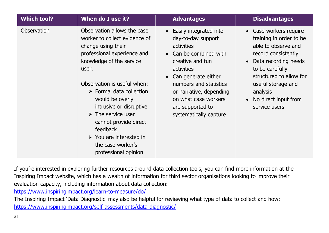| <b>Which tool?</b> | When do I use it?                                                                                                                                                                                                                                                                                                                                                                                                                               | <b>Advantages</b>                                                                                                                                                                                                                                                                   | <b>Disadvantages</b>                                                                                                                                                                                                                                 |
|--------------------|-------------------------------------------------------------------------------------------------------------------------------------------------------------------------------------------------------------------------------------------------------------------------------------------------------------------------------------------------------------------------------------------------------------------------------------------------|-------------------------------------------------------------------------------------------------------------------------------------------------------------------------------------------------------------------------------------------------------------------------------------|------------------------------------------------------------------------------------------------------------------------------------------------------------------------------------------------------------------------------------------------------|
| Observation        | Observation allows the case<br>worker to collect evidence of<br>change using their<br>professional experience and<br>knowledge of the service<br>user.<br>Observation is useful when:<br>$\triangleright$ Formal data collection<br>would be overly<br>intrusive or disruptive<br>$\triangleright$ The service user<br>cannot provide direct<br>feedback<br>$\triangleright$ You are interested in<br>the case worker's<br>professional opinion | • Easily integrated into<br>day-to-day support<br><b>activities</b><br>• Can be combined with<br>creative and fun<br>activities<br>• Can generate either<br>numbers and statistics<br>or narrative, depending<br>on what case workers<br>are supported to<br>systematically capture | • Case workers require<br>training in order to be<br>able to observe and<br>record consistently<br>• Data recording needs<br>to be carefully<br>structured to allow for<br>useful storage and<br>analysis<br>• No direct input from<br>service users |

If you're interested in exploring further resources around data collection tools, you can find more information at the Inspiring Impact website, which has a wealth of information for third sector organisations looking to improve their evaluation capacity, including information about data collection:

<https://www.inspiringimpact.org/learn-to-measure/do/>

The Inspiring Impact 'Data Diagnostic' may also be helpful for reviewing what type of data to collect and how: <https://www.inspiringimpact.org/self-assessments/data-diagnostic/>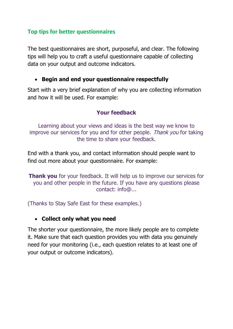#### <span id="page-31-0"></span>**Top tips for better questionnaires**

The best questionnaires are short, purposeful, and clear. The following tips will help you to craft a useful questionnaire capable of collecting data on your output and outcome indicators.

#### • **Begin and end your questionnaire respectfully**

Start with a very brief explanation of why you are collecting information and how it will be used. For example:

#### **Your feedback**

Learning about your views and ideas is the best way we know to improve our services for you and for other people. Thank you for taking the time to share your feedback.

End with a thank you, and contact information should people want to find out more about your questionnaire. For example:

**Thank you** for your feedback. It will help us to improve our services for you and other people in the future. If you have any questions please contact: info@...

(Thanks to Stay Safe East for these examples.)

#### • **Collect only what you need**

The shorter your questionnaire, the more likely people are to complete it. Make sure that each question provides you with data you genuinely need for your monitoring (i.e., each question relates to at least one of your output or outcome indicators).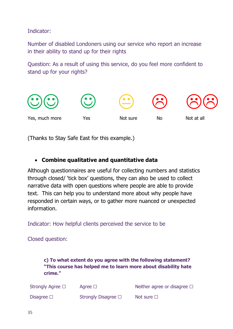Indicator:

Number of disabled Londoners using our service who report an increase in their ability to stand up for their rights

Question: As a result of using this service, do you feel more confident to stand up for your rights?



(Thanks to Stay Safe East for this example.)

## • **Combine qualitative and quantitative data**

Although questionnaires are useful for collecting numbers and statistics through closed/ 'tick box' questions, they can also be used to collect narrative data with open questions where people are able to provide text. This can help you to understand more about why people have responded in certain ways, or to gather more nuanced or unexpected information.

Indicator: How helpful clients perceived the service to be

Closed question:

**c) To what extent do you agree with the following statement? "This course has helped me to learn more about disability hate crime."** 

| Strongly Agree $\Box$ | Agree $\square$          | Neither agree or disagree $\Box$ |
|-----------------------|--------------------------|----------------------------------|
| Disagree $\square$    | Strongly Disagree $\Box$ | Not sure $\square$               |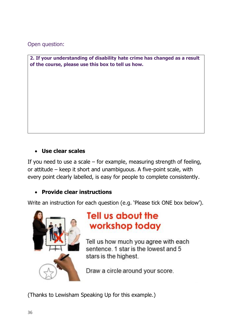Open question:

**2. If your understanding of disability hate crime has changed as a result of the course, please use this box to tell us how.**

## • **Use clear scales**

If you need to use a scale – for example, measuring strength of feeling, or attitude – keep it short and unambiguous. A five-point scale, with every point clearly labelled, is easy for people to complete consistently.

#### • **Provide clear instructions**

Write an instruction for each question (e.g. 'Please tick ONE box below').



# **Tell us about the** workshop today

Tell us how much you agree with each sentence. 1 star is the lowest and 5 stars is the highest.

Draw a circle around your score.

(Thanks to Lewisham Speaking Up for this example.)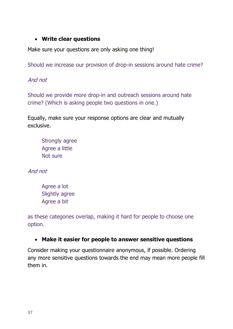#### • **Write clear questions**

Make sure your questions are only asking one thing!

Should we increase our provision of drop-in sessions around hate crime?

And not

Should we provide more drop-in and outreach sessions around hate crime? (Which is asking people two questions in one.)

Equally, make sure your response options are clear and mutually exclusive.

Strongly agree Agree a little Not sure

And not

Agree a lot Slightly agree Agree a bit

as these categories overlap, making it hard for people to choose one option.

## • **Make it easier for people to answer sensitive questions**

Consider making your questionnaire anonymous, if possible. Ordering any more sensitive questions towards the end may mean more people fill them in.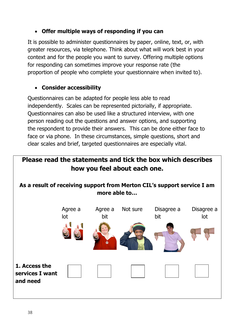## • **Offer multiple ways of responding if you can**

It is possible to administer questionnaires by paper, online, text, or, with greater resources, via telephone. Think about what will work best in your context and for the people you want to survey. Offering multiple options for responding can sometimes improve your response rate (the proportion of people who complete your questionnaire when invited to).

## • **Consider accessibility**

Questionnaires can be adapted for people less able to read independently. Scales can be represented pictorially, if appropriate. Questionnaires can also be used like a structured interview, with one person reading out the questions and answer options, and supporting the respondent to provide their answers. This can be done either face to face or via phone. In these circumstances, simple questions, short and clear scales and brief, targeted questionnaires are especially vital.

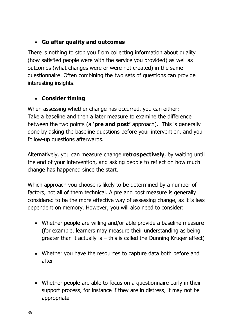## • **Go after quality and outcomes**

There is nothing to stop you from collecting information about quality (how satisfied people were with the service you provided) as well as outcomes (what changes were or were not created) in the same questionnaire. Often combining the two sets of questions can provide interesting insights.

## • **Consider timing**

When assessing whether change has occurred, you can either: Take a baseline and then a later measure to examine the difference between the two points (a **'pre and post'** approach). This is generally done by asking the baseline questions before your intervention, and your follow-up questions afterwards.

Alternatively, you can measure change **retrospectively**, by waiting until the end of your intervention, and asking people to reflect on how much change has happened since the start.

Which approach you choose is likely to be determined by a number of factors, not all of them technical. A pre and post measure is generally considered to be the more effective way of assessing change, as it is less dependent on memory. However, you will also need to consider:

- Whether people are willing and/or able provide a baseline measure (for example, learners may measure their understanding as being greater than it actually is  $-$  this is called the Dunning Kruger effect)
- Whether you have the resources to capture data both before and after
- Whether people are able to focus on a questionnaire early in their support process, for instance if they are in distress, it may not be appropriate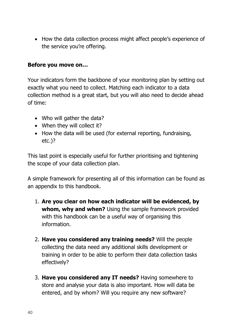• How the data collection process might affect people's experience of the service you're offering.

#### **Before you move on…**

Your indicators form the backbone of your monitoring plan by setting out exactly what you need to collect. Matching each indicator to a data collection method is a great start, but you will also need to decide ahead of time:

- Who will gather the data?
- When they will collect it?
- How the data will be used (for external reporting, fundraising, etc.)?

This last point is especially useful for further prioritising and tightening the scope of your data collection plan.

A simple framework for presenting all of this information can be found as an appendix to this handbook.

- 1. **Are you clear on how each indicator will be evidenced, by whom, why and when?** Using the sample framework provided with this handbook can be a useful way of organising this information.
- 2. **Have you considered any training needs?** Will the people collecting the data need any additional skills development or training in order to be able to perform their data collection tasks effectively?
- 3. **Have you considered any IT needs?** Having somewhere to store and analyse your data is also important. How will data be entered, and by whom? Will you require any new software?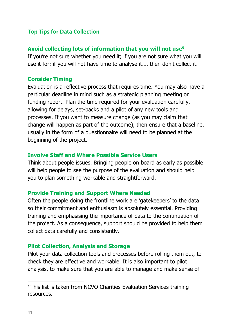#### <span id="page-38-0"></span>**Top Tips for Data Collection**

#### **Avoid collecting lots of information that you will not use<sup>6</sup>**

If you're not sure whether you need it; if you are not sure what you will use it for; if you will not have time to analyse it…. then don't collect it.

#### **Consider Timing**

Evaluation is a reflective process that requires time. You may also have a particular deadline in mind such as a strategic planning meeting or funding report. Plan the time required for your evaluation carefully, allowing for delays, set-backs and a pilot of any new tools and processes. If you want to measure change (as you may claim that change will happen as part of the outcome), then ensure that a baseline, usually in the form of a questionnaire will need to be planned at the beginning of the project.

#### **Involve Staff and Where Possible Service Users**

Think about people issues. Bringing people on board as early as possible will help people to see the purpose of the evaluation and should help you to plan something workable and straightforward.

#### **Provide Training and Support Where Needed**

Often the people doing the frontline work are 'gatekeepers' to the data so their commitment and enthusiasm is absolutely essential. Providing training and emphasising the importance of data to the continuation of the project. As a consequence, support should be provided to help them collect data carefully and consistently.

#### **Pilot Collection, Analysis and Storage**

Pilot your data collection tools and processes before rolling them out, to check they are effective and workable. It is also important to pilot analysis, to make sure that you are able to manage and make sense of

<sup>&</sup>lt;sup>6</sup> This list is taken from NCVO Charities Evaluation Services training resources.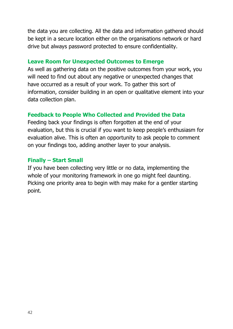the data you are collecting. All the data and information gathered should be kept in a secure location either on the organisations network or hard drive but always password protected to ensure confidentiality.

#### **Leave Room for Unexpected Outcomes to Emerge**

As well as gathering data on the positive outcomes from your work, you will need to find out about any negative or unexpected changes that have occurred as a result of your work. To gather this sort of information, consider building in an open or qualitative element into your data collection plan.

## **Feedback to People Who Collected and Provided the Data**

Feeding back your findings is often forgotten at the end of your evaluation, but this is crucial if you want to keep people's enthusiasm for evaluation alive. This is often an opportunity to ask people to comment on your findings too, adding another layer to your analysis.

#### **Finally – Start Small**

If you have been collecting very little or no data, implementing the whole of your monitoring framework in one go might feel daunting. Picking one priority area to begin with may make for a gentler starting point.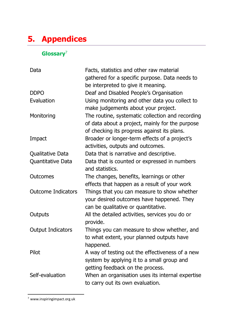# <span id="page-40-0"></span>**5. Appendices**

## <span id="page-40-1"></span>**Glossary**<sup>7</sup>

| Data                      | Facts, statistics and other raw material<br>gathered for a specific purpose. Data needs to<br>be interpreted to give it meaning.                   |
|---------------------------|----------------------------------------------------------------------------------------------------------------------------------------------------|
| <b>DDPO</b>               | Deaf and Disabled People's Organisation                                                                                                            |
| Evaluation                | Using monitoring and other data you collect to<br>make judgements about your project.                                                              |
| Monitoring                | The routine, systematic collection and recording<br>of data about a project, mainly for the purpose<br>of checking its progress against its plans. |
| Impact                    | Broader or longer-term effects of a project's<br>activities, outputs and outcomes.                                                                 |
| Qualitative Data          | Data that is narrative and descriptive.                                                                                                            |
| Quantitative Data         | Data that is counted or expressed in numbers<br>and statistics.                                                                                    |
| Outcomes                  | The changes, benefits, learnings or other<br>effects that happen as a result of your work                                                          |
| <b>Outcome Indicators</b> | Things that you can measure to show whether<br>your desired outcomes have happened. They<br>can be qualitative or quantitative.                    |
| Outputs                   | All the detailed activities, services you do or<br>provide.                                                                                        |
| <b>Output Indicators</b>  | Things you can measure to show whether, and<br>to what extent, your planned outputs have<br>happened.                                              |
| Pilot                     | A way of testing out the effectiveness of a new<br>system by applying it to a small group and<br>getting feedback on the process.                  |
| Self-evaluation           | When an organisation uses its internal expertise<br>to carry out its own evaluation.                                                               |

<sup>7</sup> www.inspiringimpact.org.uk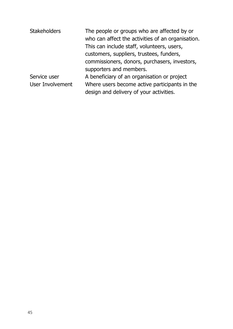| <b>Stakeholders</b> | The people or groups who are affected by or       |
|---------------------|---------------------------------------------------|
|                     | who can affect the activities of an organisation. |
|                     | This can include staff, volunteers, users,        |
|                     | customers, suppliers, trustees, funders,          |
|                     | commissioners, donors, purchasers, investors,     |
|                     | supporters and members.                           |
| Service user        | A beneficiary of an organisation or project       |
| User Involvement    | Where users become active participants in the     |
|                     | design and delivery of your activities.           |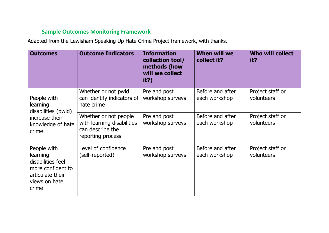## **Sample Outcomes Monitoring Framework**

Adapted from the Lewisham Speaking Up Hate Crime Project framework, with thanks.

<span id="page-42-0"></span>

| <b>Outcomes</b>                                                                                                 | <b>Outcome Indicators</b>                                                                    | <b>Information</b><br>collection tool/<br>methods (how<br>will we collect<br>it?) | <b>When will we</b><br>collect it? | <b>Who will collect</b><br>it? |
|-----------------------------------------------------------------------------------------------------------------|----------------------------------------------------------------------------------------------|-----------------------------------------------------------------------------------|------------------------------------|--------------------------------|
| People with<br>learning<br>disabilities (pwld)                                                                  | Whether or not pwld<br>can identify indicators of<br>hate crime                              | Pre and post<br>workshop surveys                                                  | Before and after<br>each workshop  | Project staff or<br>volunteers |
| increase their<br>knowledge of hate<br>crime                                                                    | Whether or not people<br>with learning disabilities<br>can describe the<br>reporting process | Pre and post<br>workshop surveys                                                  | Before and after<br>each workshop  | Project staff or<br>volunteers |
| People with<br>learning<br>disabilities feel<br>more confident to<br>articulate their<br>views on hate<br>crime | Level of confidence<br>(self-reported)                                                       | Pre and post<br>workshop surveys                                                  | Before and after<br>each workshop  | Project staff or<br>volunteers |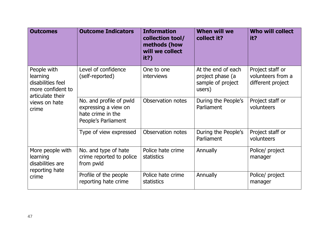| <b>Outcomes</b>                                                                                                 | <b>Outcome Indicators</b>                                                                   | <b>Information</b><br>collection tool/<br>methods (how<br>will we collect<br>it?) | <b>When will we</b><br>collect it?                                    | <b>Who will collect</b><br>it?                             |
|-----------------------------------------------------------------------------------------------------------------|---------------------------------------------------------------------------------------------|-----------------------------------------------------------------------------------|-----------------------------------------------------------------------|------------------------------------------------------------|
| People with<br>learning<br>disabilities feel<br>more confident to<br>articulate their<br>views on hate<br>crime | Level of confidence<br>(self-reported)                                                      | One to one<br><b>interviews</b>                                                   | At the end of each<br>project phase (a<br>sample of project<br>users) | Project staff or<br>volunteers from a<br>different project |
|                                                                                                                 | No. and profile of pwld<br>expressing a view on<br>hate crime in the<br>People's Parliament | Observation notes                                                                 | During the People's<br>Parliament                                     | Project staff or<br>volunteers                             |
|                                                                                                                 | Type of view expressed                                                                      | Observation notes                                                                 | During the People's<br>Parliament                                     | Project staff or<br>volunteers                             |
| More people with<br>learning<br>disabilities are<br>reporting hate<br>crime                                     | No. and type of hate<br>crime reported to police<br>from pwld                               | Police hate crime<br>statistics                                                   | Annually                                                              | Police/ project<br>manager                                 |
|                                                                                                                 | Profile of the people<br>reporting hate crime                                               | Police hate crime<br><b>statistics</b>                                            | Annually                                                              | Police/ project<br>manager                                 |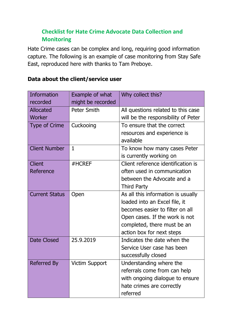## <span id="page-44-0"></span>**Checklist for Hate Crime Advocate Data Collection and Monitoring**

Hate Crime cases can be complex and long, requiring good information capture. The following is an example of case monitoring from Stay Safe East, reproduced here with thanks to Tam Preboye.

| Information           | Example of what       | Why collect this?                   |
|-----------------------|-----------------------|-------------------------------------|
| recorded              | might be recorded     |                                     |
| <b>Allocated</b>      | <b>Peter Smith</b>    | All questions related to this case  |
| Worker                |                       | will be the responsibility of Peter |
| <b>Type of Crime</b>  | Cuckooing             | To ensure that the correct          |
|                       |                       | resources and experience is         |
|                       |                       | available                           |
| <b>Client Number</b>  | $\mathbf{1}$          | To know how many cases Peter        |
|                       |                       | is currently working on             |
| <b>Client</b>         | #HCREF                | Client reference identification is  |
| Reference             |                       | often used in communication         |
|                       |                       | between the Advocate and a          |
|                       |                       | <b>Third Party</b>                  |
| <b>Current Status</b> | Open                  | As all this information is usually  |
|                       |                       | loaded into an Excel file, it       |
|                       |                       | becomes easier to filter on all     |
|                       |                       | Open cases. If the work is not      |
|                       |                       | completed, there must be an         |
|                       |                       | action box for next steps           |
| <b>Date Closed</b>    | 25.9.2019             | Indicates the date when the         |
|                       |                       | Service User case has been          |
|                       |                       | successfully closed                 |
| Referred By           | <b>Victim Support</b> | Understanding where the             |
|                       |                       | referrals come from can help        |
|                       |                       | with ongoing dialogue to ensure     |
|                       |                       | hate crimes are correctly           |
|                       |                       | referred                            |

## **Data about the client/service user**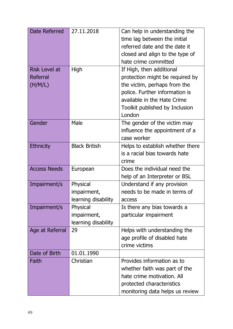| Date Referred        | 27.11.2018           | Can help in understanding the    |
|----------------------|----------------------|----------------------------------|
|                      |                      | time lag between the initial     |
|                      |                      | referred date and the date it    |
|                      |                      | closed and align to the type of  |
|                      |                      | hate crime committed             |
| <b>Risk Level at</b> | High                 | If High, then additional         |
| Referral             |                      | protection might be required by  |
| (H/M/L)              |                      | the victim, perhaps from the     |
|                      |                      | police. Further information is   |
|                      |                      | available in the Hate Crime      |
|                      |                      | Toolkit published by Inclusion   |
|                      |                      | London                           |
| Gender               | Male                 | The gender of the victim may     |
|                      |                      | influence the appointment of a   |
|                      |                      | case worker                      |
| <b>Ethnicity</b>     | <b>Black British</b> | Helps to establish whether there |
|                      |                      | is a racial bias towards hate    |
|                      |                      | crime                            |
| <b>Access Needs</b>  | European             | Does the individual need the     |
|                      |                      | help of an Interpreter or BSL    |
| Impairment/s         | Physical             | Understand if any provision      |
|                      | impairment,          | needs to be made in terms of     |
|                      | learning disability  | access                           |
| Impairment/s         | Physical             | Is there any bias towards a      |
|                      | impairment,          | particular impairment            |
|                      | learning disability  |                                  |
| Age at Referral      | 29                   | Helps with understanding the     |
|                      |                      | age profile of disabled hate     |
|                      |                      | crime victims                    |
| Date of Birth        | 01.01.1990           |                                  |
| Faith                | Christian            | Provides information as to       |
|                      |                      | whether faith was part of the    |
|                      |                      | hate crime motivation. All       |
|                      |                      | protected characteristics        |
|                      |                      | monitoring data helps us review  |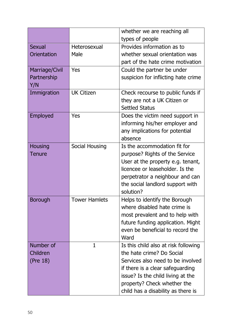|                       |                      | whether we are reaching all          |
|-----------------------|----------------------|--------------------------------------|
|                       |                      | types of people                      |
| <b>Sexual</b>         | Heterosexual         | Provides information as to           |
| Orientation           | Male                 | whether sexual orientation was       |
|                       |                      | part of the hate crime motivation    |
| <b>Marriage/Civil</b> | Yes                  | Could the partner be under           |
| Partnership           |                      | suspicion for inflicting hate crime  |
| Y/N                   |                      |                                      |
| Immigration           | <b>UK Citizen</b>    | Check recourse to public funds if    |
|                       |                      | they are not a UK Citizen or         |
|                       |                      | <b>Settled Status</b>                |
| Employed              | Yes                  | Does the victim need support in      |
|                       |                      | informing his/her employer and       |
|                       |                      | any implications for potential       |
|                       |                      | absence                              |
| <b>Housing</b>        | Social Housing       | Is the accommodation fit for         |
| Tenure                |                      | purpose? Rights of the Service       |
|                       |                      | User at the property e.g. tenant,    |
|                       |                      | licencee or leaseholder. Is the      |
|                       |                      | perpetrator a neighbour and can      |
|                       |                      | the social landlord support with     |
|                       |                      | solution?                            |
| <b>Borough</b>        | <b>Tower Hamlets</b> | Helps to identify the Borough        |
|                       |                      | where disabled hate crime is         |
|                       |                      | most prevalent and to help with      |
|                       |                      | future funding application. Might    |
|                       |                      | even be beneficial to record the     |
|                       |                      | Ward                                 |
| Number of             | $\mathbf 1$          | Is this child also at risk following |
| Children              |                      | the hate crime? Do Social            |
| (Pre 18)              |                      | Services also need to be involved    |
|                       |                      | if there is a clear safeguarding     |
|                       |                      | issue? Is the child living at the    |
|                       |                      | property? Check whether the          |
|                       |                      | child has a disability as there is   |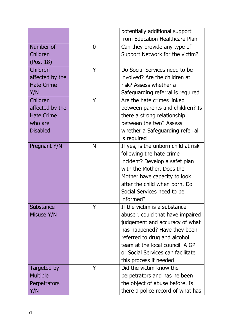|                   |                | potentially additional support      |
|-------------------|----------------|-------------------------------------|
|                   |                | from Education Healthcare Plan      |
| Number of         | $\overline{0}$ | Can they provide any type of        |
| Children          |                | Support Network for the victim?     |
| (Post 18)         |                |                                     |
| Children          | Y              | Do Social Services need to be       |
| affected by the   |                | involved? Are the children at       |
| <b>Hate Crime</b> |                | risk? Assess whether a              |
| Y/N               |                | Safeguarding referral is required   |
| Children          | Y              | Are the hate crimes linked          |
| affected by the   |                | between parents and children? Is    |
| <b>Hate Crime</b> |                | there a strong relationship         |
| who are           |                | between the two? Assess             |
| <b>Disabled</b>   |                | whether a Safeguarding referral     |
|                   |                | is required                         |
| Pregnant Y/N      | N              | If yes, is the unborn child at risk |
|                   |                | following the hate crime            |
|                   |                | incident? Develop a safet plan      |
|                   |                | with the Mother. Does the           |
|                   |                | Mother have capacity to look        |
|                   |                | after the child when born. Do       |
|                   |                | Social Services need to be          |
|                   |                | informed?                           |
| <b>Substance</b>  | Y              | If the victim is a substance        |
| Misuse Y/N        |                | abuser, could that have impaired    |
|                   |                | judgement and accuracy of what      |
|                   |                | has happened? Have they been        |
|                   |                | referred to drug and alcohol        |
|                   |                | team at the local council. A GP     |
|                   |                | or Social Services can facilitate   |
|                   |                | this process if needed              |
| Targeted by       | Y              | Did the victim know the             |
| <b>Multiple</b>   |                | perpetrators and has he been        |
| Perpetrators      |                | the object of abuse before. Is      |
| Y/N               |                | there a police record of what has   |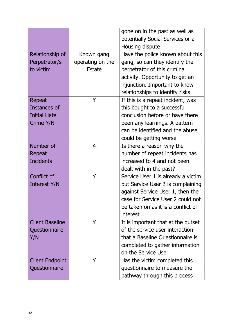|                        |                  | gone on in the past as well as     |
|------------------------|------------------|------------------------------------|
|                        |                  | potentially Social Services or a   |
|                        |                  | Housing dispute                    |
| Relationship of        | Known gang       | Have the police known about this   |
| Perpetrator/s          | operating on the | gang, so can they identify the     |
| to victim              | <b>Estate</b>    | perpetrator of this criminal       |
|                        |                  | activity. Opportunity to get an    |
|                        |                  | injunction. Important to know      |
|                        |                  | relationships to identify risks    |
| Repeat                 | Y                | If this is a repeat incident, was  |
| Instances of           |                  | this bought to a successful        |
| <b>Initial Hate</b>    |                  | conclusion before or have there    |
| Crime Y/N              |                  | been any learnings. A pattern      |
|                        |                  | can be identified and the abuse    |
|                        |                  | could be getting worse             |
| Number of              | 4                | Is there a reason why the          |
| Repeat                 |                  | number of repeat incidents has     |
| <b>Incidents</b>       |                  | increased to 4 and not been        |
|                        |                  | dealt with in the past?            |
| Conflict of            | Y                | Service User 1 is already a victim |
| Interest Y/N           |                  | but Service User 2 is complaining  |
|                        |                  | against Service User 1, then the   |
|                        |                  | case for Service User 2 could not  |
|                        |                  | be taken on as it is a conflict of |
|                        |                  | interest                           |
| <b>Client Baseline</b> | Y                | It is important that at the outset |
| Questionnaire          |                  | of the service user interaction    |
| Y/N                    |                  | that a Baseline Questionnaire is   |
|                        |                  | completed to gather information    |
|                        |                  | on the Service User                |
| <b>Client Endpoint</b> | Y                | Has the victim completed this      |
| Questionnaire          |                  | questionnaire to measure the       |
|                        |                  | pathway through this process       |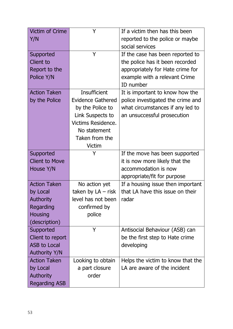| <b>Victim of Crime</b> | Y                         | If a victim then has this been    |
|------------------------|---------------------------|-----------------------------------|
| Y/N                    |                           | reported to the police or maybe   |
|                        |                           | social services                   |
| Supported              | Y                         | If the case has been reported to  |
| <b>Client to</b>       |                           | the police has it been recorded   |
| Report to the          |                           | appropriately for Hate crime for  |
| Police Y/N             |                           | example with a relevant Crime     |
|                        |                           | ID number                         |
| <b>Action Taken</b>    | <b>Insufficient</b>       | It is important to know how the   |
| by the Police          | <b>Evidence Gathered</b>  | police investigated the crime and |
|                        | by the Police to          | what circumstances if any led to  |
|                        | Link Suspects to          | an unsuccessful prosecution       |
|                        | <b>Victims Residence.</b> |                                   |
|                        | No statement              |                                   |
|                        | Taken from the            |                                   |
|                        | <b>Victim</b>             |                                   |
| Supported              | Y                         | If the move has been supported    |
| <b>Client to Move</b>  |                           | it is now more likely that the    |
| House Y/N              |                           | accommodation is now              |
|                        |                           | appropriate/fit for purpose       |
| <b>Action Taken</b>    | No action yet             | If a housing issue then important |
| by Local               | taken by $LA - risk$      | that LA have this issue on their  |
| <b>Authority</b>       | level has not been        | radar                             |
| Regarding              | confirmed by              |                                   |
| <b>Housing</b>         | police                    |                                   |
| (description)          |                           |                                   |
| Supported              | Y                         | Antisocial Behaviour (ASB) can    |
| Client to report       |                           | be the first step to Hate crime   |
| ASB to Local           |                           | developing                        |
| <b>Authority Y/N</b>   |                           |                                   |
| <b>Action Taken</b>    | Looking to obtain         | Helps the victim to know that the |
| by Local               | a part closure            | LA are aware of the incident      |
| <b>Authority</b>       | order                     |                                   |
| <b>Regarding ASB</b>   |                           |                                   |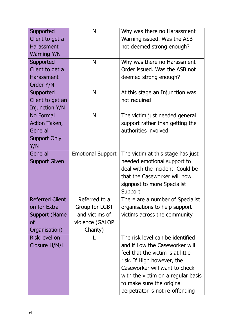| Supported              | N                        | Why was there no Harassment        |
|------------------------|--------------------------|------------------------------------|
| Client to get a        |                          | Warning issued. Was the ASB        |
| <b>Harassment</b>      |                          | not deemed strong enough?          |
| <b>Warning Y/N</b>     |                          |                                    |
| Supported              | N                        | Why was there no Harassment        |
| Client to get a        |                          | Order issued. Was the ASB not      |
| <b>Harassment</b>      |                          | deemed strong enough?              |
| Order Y/N              |                          |                                    |
| Supported              | N                        | At this stage an Injunction was    |
| Client to get an       |                          | not required                       |
| <b>Injunction Y/N</b>  |                          |                                    |
| <b>No Formal</b>       | N                        | The victim just needed general     |
| Action Taken,          |                          | support rather than getting the    |
| General                |                          | authorities involved               |
| <b>Support Only</b>    |                          |                                    |
| Y/N                    |                          |                                    |
| General                | <b>Emotional Support</b> | The victim at this stage has just  |
| <b>Support Given</b>   |                          | needed emotional support to        |
|                        |                          | deal with the incident. Could be   |
|                        |                          | that the Caseworker will now       |
|                        |                          | signpost to more Specialist        |
|                        |                          | Support                            |
| <b>Referred Client</b> | Referred to a            | There are a number of Specialist   |
| on for Extra           | Group for LGBT           | organisations to help support      |
| <b>Support (Name</b>   | and victims of           | victims across the community       |
| οf                     | violence (GALOP          |                                    |
| Organisation)          | Charity)                 |                                    |
| Risk level on          |                          | The risk level can be identified   |
| Closure H/M/L          |                          | and if Low the Caseworker will     |
|                        |                          | feel that the victim is at little  |
|                        |                          | risk. If High however, the         |
|                        |                          | Caseworker will want to check      |
|                        |                          | with the victim on a regular basis |
|                        |                          | to make sure the original          |
|                        |                          | perpetrator is not re-offending    |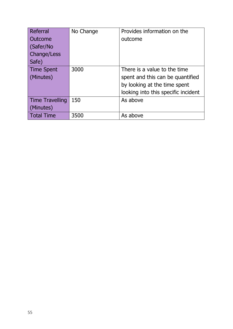| Referral           | No Change | Provides information on the         |
|--------------------|-----------|-------------------------------------|
| Outcome            |           | outcome                             |
| (Safer/No          |           |                                     |
| <b>Change/Less</b> |           |                                     |
| Safe)              |           |                                     |
| Time Spent         | 3000      | There is a value to the time        |
| (Minutes)          |           | spent and this can be quantified    |
|                    |           | by looking at the time spent        |
|                    |           | looking into this specific incident |
| Time Travelling    | 150       | As above                            |
| (Minutes)          |           |                                     |
| <b>Total Time</b>  | 3500      | As above                            |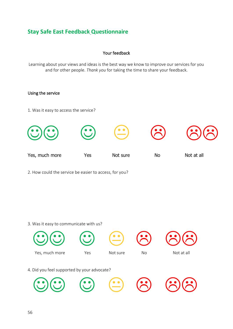## <span id="page-52-0"></span>**Stay Safe East Feedback Questionnaire**

#### Your feedback

Learning about your views and ideas is the best way we know to improve our services for you and for other people. *Thank you* for taking the time to share your feedback.

#### Using the service

1. Was it easy to access the service?



2. How could the service be easier to access, for you?

#### 3. Was it easy to communicate with us?

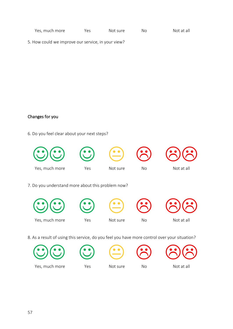5. How could we improve our service, in your view?

#### Changes for you

6. Do you feel clear about your next steps?



 $\odot$   $\odot$   $\odot$   $\odot$   $\odot$ 









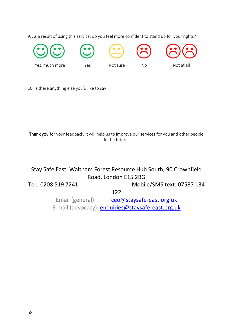9. As a result of using this service, do you feel more confident to stand up for your rights?



10. Is there anything else you'd like to say?

Thank you for your feedback. It will help us to improve our services for you and other people in the future.

## Stay Safe East, Waltham Forest Resource Hub South, 90 Crownfield Road, London E15 2BG

Tel: 0208 519 7241 Mobile/SMS text: 07587 134

122

Email (general): [ceo@staysafe-east.org.uk](mailto:ceo@staysafe-east.org.uk) E-mail (advocacy): **enquiries@staysafe-east.org.uk**